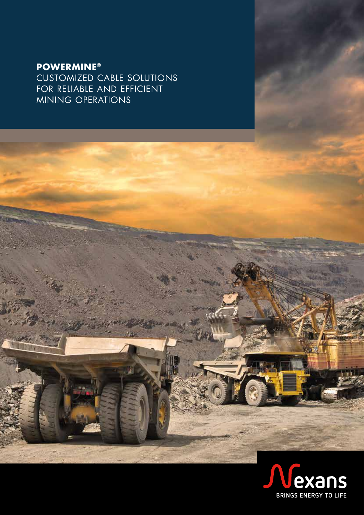# **POWERMINE®**

CUSTOMIZED CABLE SOLUTIONS FOR RELIABLE AND EFFICIENT MINING OPERATIONS

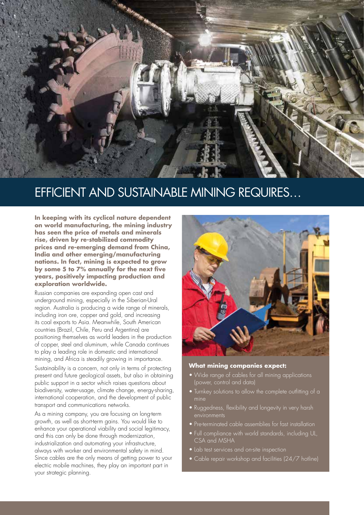

# EFFICIENT AND SUSTAINABLE MINING REQUIRES…

**In keeping with its cyclical nature dependent on world manufacturing, the mining industry has seen the price of metals and minerals rise, driven by re-stabilized commodity prices and re-emerging demand from China, India and other emerging/manufacturing nations. In fact, mining is expected to grow by some 5 to 7% annually for the next five years, positively impacting production and exploration worldwide.**

Russian companies are expanding open cast and underground mining, especially in the Siberian-Ural region. Australia is producing a wide range of minerals, including iron ore, copper and gold, and increasing its coal exports to Asia. Meanwhile, South American countries (Brazil, Chile, Peru and Argentina) are positioning themselves as world leaders in the production of copper, steel and aluminum, while Canada continues to play a leading role in domestic and international mining, and Africa is steadily growing in importance. Sustainability is a concern, not only in terms of protecting present and future geological assets, but also in obtaining

public support in a sector which raises questions about biodiversity, water-usage, climate change, energy-sharing, international cooperation, and the development of public transport and communications networks.

As a mining company, you are focusing on long-term growth, as well as short-term gains. You would like to enhance your operational viability and social legitimacy, and this can only be done through modernization, industrialization and automating your infrastructure, always with worker and environmental safety in mind. Since cables are the only means of getting power to your electric mobile machines, they play an important part in your strategic planning.



#### **What mining companies expect:**

- Wide range of cables for all mining applications (power, control and data)
- Turnkey solutions to allow the complete outfitting of a
- Ruggedness, flexibility and longevity in very harsh environments
- Pre-terminated cable assemblies for fast installation
- Full compliance with world standards, including UL, CSA and MSHA
- Lab test services and on-site inspection
- Cable repair workshop and facilities (24/7 hotline)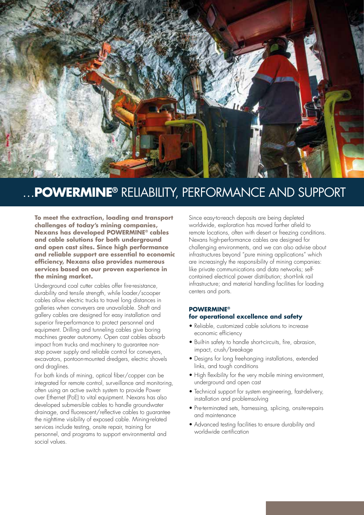

# …**POWERMINE®** RELIABILITY, PERFORMANCE AND SUPPORT

**To meet the extraction, loading and transport challenges of today's mining companies, Nexans has developed POWERMINE® cables and cable solutions for both underground and open cast sites. Since high performance and reliable support are essential to economic efficiency, Nexans also provides numerous services based on our proven experience in the mining market.**

Underground coal cutter cables offer fire-resistance, durability and tensile strength, while loader/scooper cables allow electric trucks to travel long distances in galleries when conveyers are unavailable. Shaft and gallery cables are designed for easy installation and superior fire-performance to protect personnel and equipment. Drilling and tunneling cables give boring machines greater autonomy. Open cast cables absorb impact from trucks and machinery to guarantee nonstop power supply and reliable control for conveyers, excavators, pontoon-mounted dredgers, electric shovels and draglines.

For both kinds of mining, optical fiber/copper can be integrated for remote control, surveillance and monitoring, often using an active switch system to provide Power over Ethernet (PoE) to vital equipment. Nexans has also developed submersible cables to handle groundwater drainage, and fluorescent/reflective cables to guarantee the nighttime visibility of exposed cable. Mining-related services include testing, onsite repair, training for personnel, and programs to support environmental and social values.

Since easy-to-reach deposits are being depleted worldwide, exploration has moved farther afield to remote locations, often with desert or freezing conditions. Nexans high-performance cables are designed for challenging environments, and we can also advise about infrastructures beyond "pure mining applications" which are increasingly the responsibility of mining companies: like private communications and data networks; selfcontained electrical power distribution; short-link rail infrastructure; and material handling facilities for loading centers and ports.

# **POWERMINE® for operational excellence and safety**

- Reliable, customized cable solutions to increase economic efficiency
- Built-in safety to handle short-circuits, fire, abrasion, impact, crush/breakage
- Designs for long freehanging installations, extended links, and tough conditions
- High flexibility for the very mobile mining environment, underground and open cast
- Technical support for system engineering, fast-delivery, installation and problemsolving
- Pre-terminated sets, harnessing, splicing, onsite-repairs and maintenance
- Advanced testing facilities to ensure durability and worldwide certification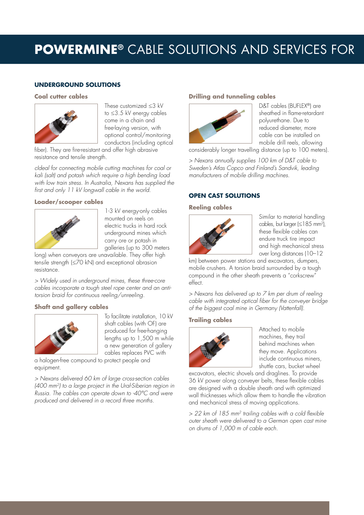# **POWERMINE®** CABLE SOLUTIONS AND SERVICES FOR

# **UNDERGROUND SOLUTIONS**

#### **Coal cutter cables**



These customized ≤3 kV to ≤3.5 kV energy cables come in a chain and free-laying version, with optional control/monitoring conductors (including optical

fiber). They are fire-resistant and offer high abrasive resistance and tensile strength.

*cIdeal for connecting mobile cutting machines for coal or kali (salt) and potash which require a high bending load with low train stress. In Australia, Nexans has supplied the first and only 11 kV longwall cable in the world.*

#### **Loader/scooper cables**



1-3 kV energy-only cables mounted on reels on electric trucks in hard rock underground mines which carry ore or potash in galleries (up to 300 meters

long) when conveyors are unavailable. They offer high tensile strength (≤70 kN) and exceptional abrasion resistance.

*> Widely used in underground mines, these three-core cables incorporate a tough steel rope center and an antitorsion braid for continuous reeling/unreeling.*

# **Shaft and gallery cables**



To facilitate installation, 10 kV shaft cables (with OF) are produced for free-hanging lengths up to 1,500 m while a new generation of gallery cables replaces PVC with

a halogen-free compound to protect people and equipment.

*> Nexans delivered 60 km of large cross-section cables (400 mm2) to a large project in the Ural-Siberian region in Russia. The cables can operate down to -40°C and were produced and delivered in a record three months.*

# **Drilling and tunneling cables**



D&T cables (BUFLEX®) are sheathed in flame-retardant polyurethane. Due to reduced diameter, more cable can be installed on mobile drill reels, allowing

considerably longer travelling distance (up to 100 meters).

*> Nexans annually supplies 100 km of D&T cable to Sweden's Atlas Copco and Finland's Sandvik, leading manufacturers of mobile drilling machines.*

# **OPEN CAST SOLUTIONS**

#### **Reeling cables**



Similar to material handling cables, but larger (≤185 mm2 ), these flexible cables can endure truck tire impact and high mechanical stress over long distances (10–12

km) between power stations and excavators, dumpers, mobile crushers. A torsion braid surrounded by a tough compound in the other sheath prevents a "corkscrew" effect.

*> Nexans has delivered up to 7 km per drum of reeling cable with integrated optical fiber for the conveyer bridge of the biggest coal mine in Germany (Vattenfall).*

# **Trailing cables**



Attached to mobile machines, they trail behind machines when they move. Applications include continuous miners, shuttle cars, bucket wheel

excavators, electric shovels and draglines. To provide 36 kV power along conveyer belts, these flexible cables are designed with a double sheath and with optimized wall thicknesses which allow them to handle the vibration and mechanical stress of moving applications.

*> 22 km of 185 mm2 trailing cables with a cold flexible outer sheath were delivered to a German open cast mine on drums of 1,000 m of cable each.*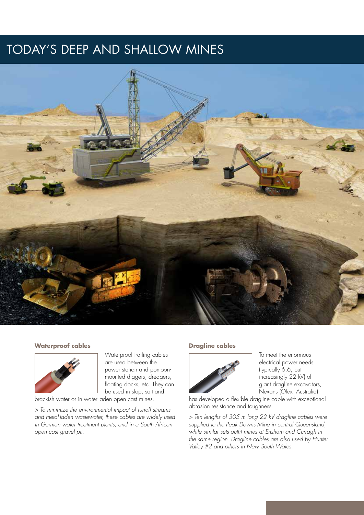# **FODAY'S DEEP AND SHALLOW MINES**



#### **Waterproof cables**



Waterproof trailing cables are used between the power station and pontoonmounted diggers, dredgers, floating docks, etc. They can be used in slop, salt and

brackish water or in water-laden open cast mines.

*> To minimize the environmental impact of runoff streams and metal-laden wastewater, these cables are widely used in German water treatment plants, and in a South African open cast gravel pit.*

#### **Dragline cables**



To meet the enormous electrical power needs (typically 6.6, but increasingly 22 kV) of giant dragline excavators, Nexans (Olex Australia)

has developed a flexible dragline cable with exceptional abrasion resistance and toughness.

*> Ten lengths of 305 m long 22 kV dragline cables were supplied to the Peak Downs Mine in central Queensland, while similar sets outfit mines at Ensham and Curragh in the same region. Dragline cables are also used by Hunter Valley #2 and others in New South Wales.*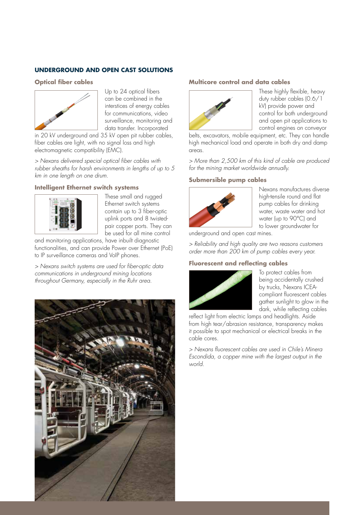# **UNDERGROUND AND OPEN CAST SOLUTIONS**

#### **Optical fiber cables**



Up to 24 optical fibers can be combined in the interstices of energy cables for communications, video surveillance, monitoring and data transfer. Incorporated

in 20 kV underground and 35 kV open pit rubber cables, fiber cables are light, with no signal loss and high electromagnetic compatibility (EMC).

*> Nexans delivered special optical fiber cables with rubber sheaths for harsh environments in lengths of up to 5 km in one length on one drum.*

#### **Intelligent Ethernet switch systems**



These small and rugged Ethernet switch systems contain up to 3 fiber-optic uplink ports and 8 twistedpair copper ports. They can be used for all mine control

and monitoring applications, have inbuilt diagnostic functionalities, and can provide Power over Ethernet (PoE) to IP surveillance cameras and VoIP phones.

*> Nexans switch systems are used for fiber-optic data communications in underground mining locations throughout Germany, especially in the Ruhr area.*



#### **Multicore control and data cables**



These highly flexible, heavy duty rubber cables (0.6/1 kV) provide power and control for both underground and open pit applications to control engines on conveyor

belts, excavators, mobile equipment, etc. They can handle high mechanical load and operate in both dry and damp areas.

*> More than 2,500 km of this kind of cable are produced for the mining market worldwide annually.*

### **Submersible pump cables**



Nexans manufactures diverse high-tensile round and flat pump cables for drinking water, waste water and hot water (up to 90°C) and to lower groundwater for

underground and open cast mines.

*> Reliability and high quality are two reasons customers order more than 200 km of pump cables every year.*

# **Fluorescent and reflecting cables**



To protect cables from being accidentally crushed by trucks, Nexans ICEAcompliant fluorescent cables gather sunlight to glow in the dark, while reflecting cables

reflect light from electric lamps and headlights. Aside from high tear/abrasion resistance, transparency makes it possible to spot mechanical or electrical breaks in the cable cores.

*> Nexans fluorescent cables are used in Chile's Minera Escondida, a copper mine with the largest output in the world.*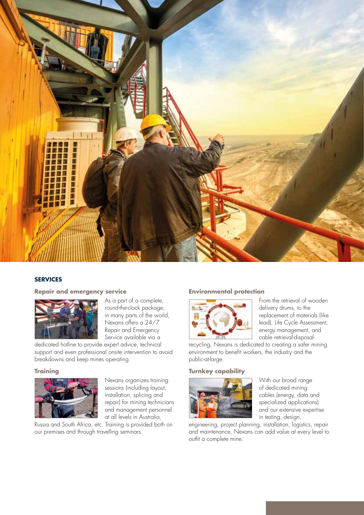

# **SERVICES**

#### **Repair and emergency service**



As a part of a complete, round-the-clock package, in many parts of the world, Nexans offers a 24/7 Repair and Emergency Service available via a

dedicated hotline to provide expert advice, technical support and even professional onsite intervention to avoid breakdowns and keep mines operating.

#### **Training**



Nexans organizes training sessions (including layout, installation, splicing and repair) for mining technicians and management personnel at all levels in Australia,

Russia and South Africa, etc. Training is provided both on our premises and through travelling seminars.

### **Environmental protection**



From the retrieval of wooden delivery drums, to the replacement of materials (like lead), Life Cycle Assessment, energy management, and cable retrieval-disposal-

recycling, Nexans is dedicated to creating a safer mining environment to benefit workers, the industry and the public-at-large.

### **Turnkey capability**



With our broad range of dedicated mining cables (energy, data and specialized applications) and our extensive expertise in testing, design,

engineering, project planning, installation, logistics, repair and maintenance, Nexans can add value at every level to outfit a complete mine.